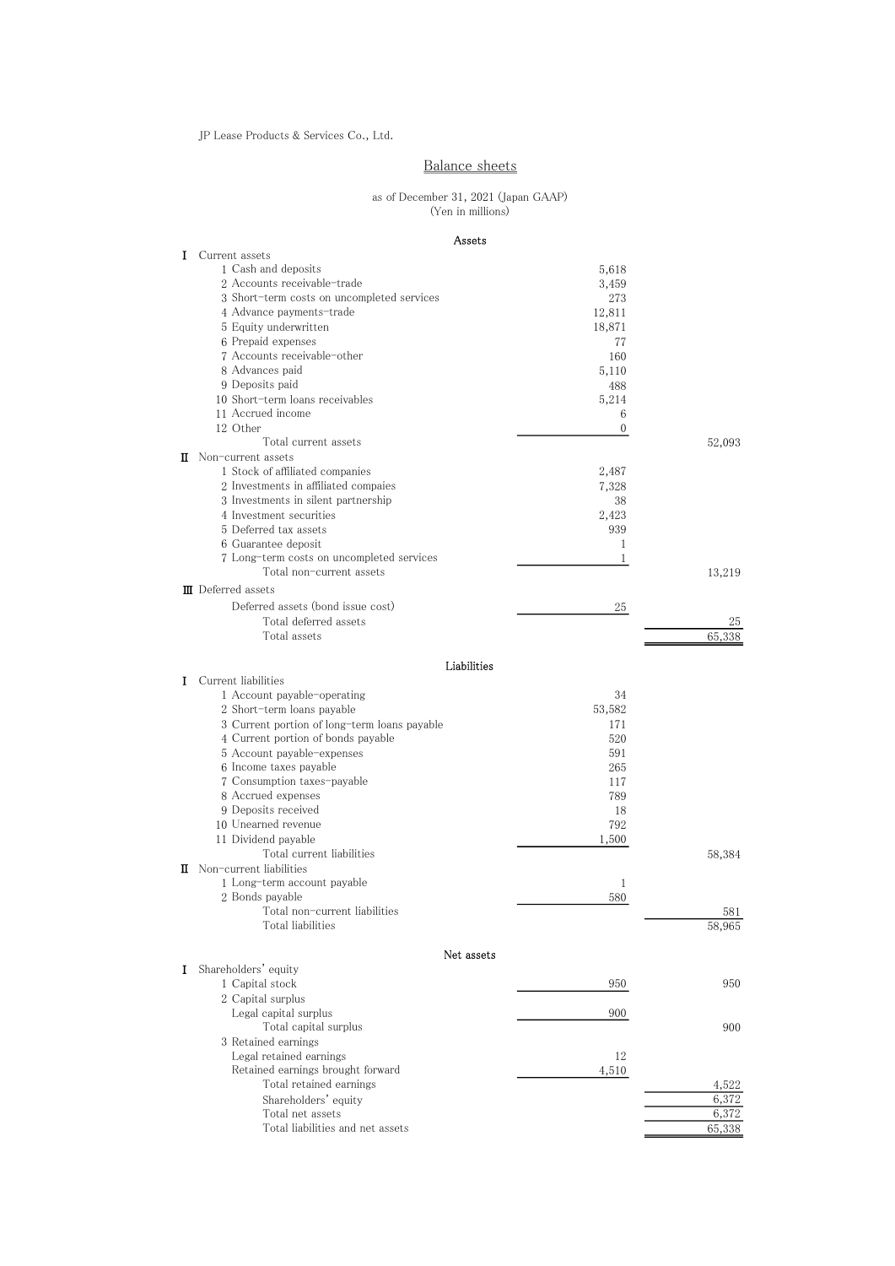JP Lease Products & Services Co., Ltd.

## Balance sheets

#### (Yen in millions) as of December 31, 2021 (Japan GAAP)

### Assets

| I | Current assets                                                        |                  |              |
|---|-----------------------------------------------------------------------|------------------|--------------|
|   | 1 Cash and deposits                                                   | 5,618            |              |
|   | 2 Accounts receivable-trade                                           | 3,459            |              |
|   | 3 Short-term costs on uncompleted services                            | 273              |              |
|   | 4 Advance payments-trade                                              | 12,811           |              |
|   | 5 Equity underwritten                                                 | 18,871           |              |
|   | 6 Prepaid expenses                                                    | 77               |              |
|   | 7 Accounts receivable-other                                           | 160              |              |
|   | 8 Advances paid<br>9 Deposits paid                                    | 5,110            |              |
|   | 10 Short-term loans receivables                                       | 488<br>5,214     |              |
|   | 11 Accrued income                                                     | 6                |              |
|   | 12 Other                                                              | $\boldsymbol{0}$ |              |
|   | Total current assets                                                  |                  | 52,093       |
|   | <b>II</b> Non-current assets                                          |                  |              |
|   | 1 Stock of affiliated companies                                       | 2,487            |              |
|   | 2 Investments in affiliated compaies                                  | 7,328            |              |
|   | 3 Investments in silent partnership                                   | 38               |              |
|   | 4 Investment securities                                               | 2,423            |              |
|   | 5 Deferred tax assets                                                 | 939              |              |
|   | 6 Guarantee deposit                                                   | 1                |              |
|   | 7 Long-term costs on uncompleted services<br>Total non-current assets | 1                |              |
|   |                                                                       |                  | 13,219       |
|   | <b>II</b> Deferred assets                                             |                  |              |
|   | Deferred assets (bond issue cost)                                     | 25               |              |
|   | Total deferred assets<br>Total assets                                 |                  | 25<br>65,338 |
|   |                                                                       |                  |              |
|   | Liabilities                                                           |                  |              |
| I | Current liabilities                                                   |                  |              |
|   | 1 Account payable-operating                                           | 34               |              |
|   | 2 Short-term loans payable                                            | 53,582           |              |
|   | 3 Current portion of long-term loans payable                          | 171              |              |
|   | 4 Current portion of bonds payable                                    | 520              |              |
|   | 5 Account payable-expenses                                            | 591              |              |
|   | 6 Income taxes payable                                                | 265              |              |
|   | 7 Consumption taxes-payable                                           | 117              |              |
|   | 8 Accrued expenses                                                    | 789              |              |
|   | 9 Deposits received<br>10 Unearned revenue                            | 18<br>792        |              |
|   | 11 Dividend payable                                                   | 1,500            |              |
|   | Total current liabilities                                             |                  | 58,384       |
|   | <b>II</b> Non-current liabilities                                     |                  |              |
|   | 1 Long-term account payable                                           | 1                |              |
|   | 2 Bonds payable                                                       | 580              |              |
|   | Total non-current liabilities                                         |                  | 581          |
|   | Total liabilities                                                     |                  | 58,965       |
|   | Net assets                                                            |                  |              |
| I | Shareholders' equity                                                  |                  |              |
|   | 1 Capital stock                                                       | 950              | 950          |
|   | 2 Capital surplus                                                     |                  |              |
|   | Legal capital surplus                                                 | 900              |              |
|   | Total capital surplus                                                 |                  | 900          |
|   | 3 Retained earnings                                                   |                  |              |
|   | Legal retained earnings                                               | 12               |              |
|   | Retained earnings brought forward                                     | 4,510            |              |
|   | Total retained earnings                                               |                  | 4,522        |
|   | Shareholders' equity                                                  |                  | 6,372        |
|   | Total net assets                                                      |                  | 6,372        |
|   | Total liabilities and net assets                                      |                  | 65,338       |